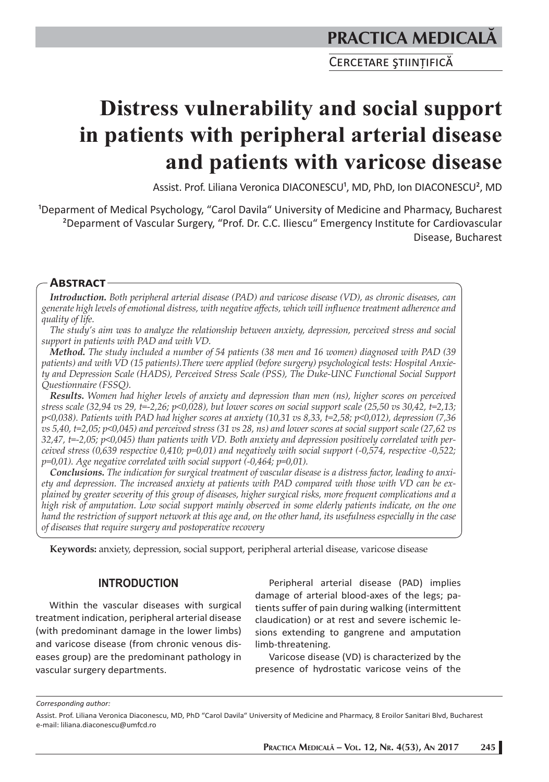CERCETARE ȘTIINTIFICĂ

# **Distress vulnerability and social support in patients with peripheral arterial disease and patients with varicose disease**

Assist. Prof. Liliana Veronica DIACONESCU<sup>1</sup>, MD, PhD, Ion DIACONESCU<sup>2</sup>, MD

<sup>1</sup>Deparment of Medical Psychology, "Carol Davila" University of Medicine and Pharmacy, Bucharest ²Deparment of Vascular Surgery, "Prof. Dr. C.C. Iliescu" Emergency Institute for Cardiovascular Disease, Bucharest

# **ABSTRACT**

*Introduction. Both peripheral arterial disease (PAD) and varicose disease (VD), as chronic diseases, can generate high levels of emotional distress, with negative affects, which will influence treatment adherence and quality of life.*

*The study's aim was to analyze the relationship between anxiety, depression, perceived stress and social support in patients with PAD and with VD.*

*Method. The study included a number of 54 patients (38 men and 16 women) diagnosed with PAD (39 patients) and with VD (15 patients).There were applied (before surgery) psychological tests: Hospital Anxiety and Depression Scale (HADS), Perceived Stress Scale (PSS), The Duke-UNC Functional Social Support Questionnaire (FSSQ).*

*Results. Women had higher levels of anxiety and depression than men (ns), higher scores on perceived stress scale (32,94 vs 29, t=-2,26; p<0,028), but lower scores on social support scale (25,50 vs 30,42, t=2,13; p<0,038). Patients with PAD had higher scores at anxiety (10,31 vs 8,33, t=2,58; p<0,012), depression (7,36 vs 5,40, t=2,05; p<0,045) and perceived stress (31 vs 28, ns) and lower scores at social support scale (27,62 vs 32,47, t=-2,05; p<0,045) than patients with VD. Both anxiety and depression positively correlated with perceived stress (0,639 respective 0,410; p=0,01) and negatively with social support (-0,574, respective -0,522; p=0,01). Age negative correlated with social support (-0,464; p=0,01).* 

*Conclusions. The indication for surgical treatment of vascular disease is a distress factor, leading to anxiety and depression. The increased anxiety at patients with PAD compared with those with VD can be explained by greater severity of this group of diseases, higher surgical risks, more frequent complications and a high risk of amputation. Low social support mainly observed in some elderly patients indicate, on the one hand the restriction of support network at this age and, on the other hand, its usefulness especially in the case of diseases that require surgery and postoperative recovery*

**Keywords:** anxiety, depression, social support, peripheral arterial disease, varicose disease

# **INTRODUCTION**

Within the vascular diseases with surgical treatment indication, peripheral arterial disease (with predominant damage in the lower limbs) and varicose disease (from chronic venous diseases group) are the predominant pathology in vascular surgery departments.

Peripheral arterial disease (PAD) implies damage of arterial blood-axes of the legs; patients suffer of pain during walking (intermittent claudication) or at rest and severe ischemic lesions extending to gangrene and amputation limb-threatening.

Varicose disease (VD) is characterized by the presence of hydrostatic varicose veins of the

*Corresponding author:* 

Assist. Prof. Liliana Veronica Diaconescu, MD, PhD "Carol Davila" University of Medicine and Pharmacy, 8 Eroilor Sanitari Blvd, Bucharest e-mail: liliana.diaconescu@umfcd.ro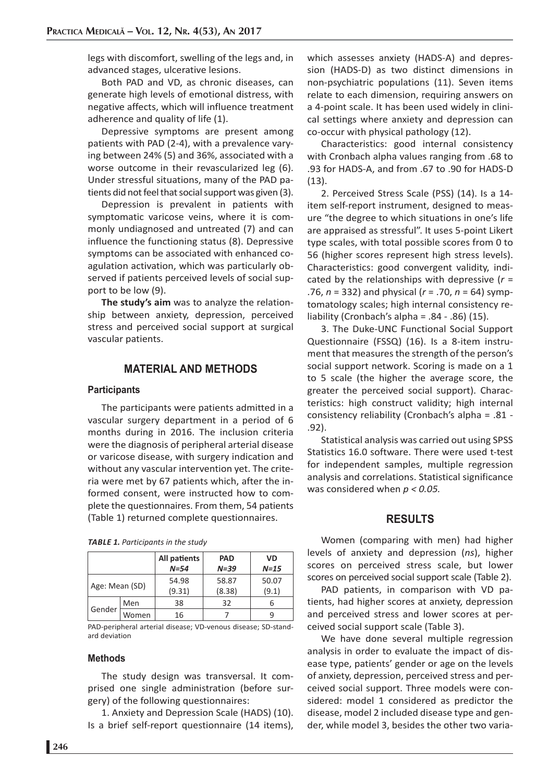legs with discomfort, swelling of the legs and, in advanced stages, ulcerative lesions.

Both PAD and VD, as chronic diseases, can generate high levels of emotional distress, with negative affects, which will influence treatment adherence and quality of life (1).

Depressive symptoms are present among patients with PAD (2-4), with a prevalence varying between 24% (5) and 36%, associated with a worse outcome in their revascularized leg (6). Under stressful situations, many of the PAD patients did not feel that social support was given (3).

Depression is prevalent in patients with symptomatic varicose veins, where it is commonly undiagnosed and untreated (7) and can influence the functioning status (8). Depressive symptoms can be associated with enhanced coagulation activation, which was particularly observed if patients perceived levels of social support to be low (9).

**The study's aim** was to analyze the relationship between anxiety, depression, perceived stress and perceived social support at surgical vascular patients.

## **MATERIAL AND METHODS**

#### **Participants**

The participants were patients admitted in a vascular surgery department in a period of 6 months during in 2016. The inclusion criteria were the diagnosis of peripheral arterial disease or varicose disease, with surgery indication and without any vascular intervention yet. The criteria were met by 67 patients which, after the informed consent, were instructed how to complete the questionnaires. From them, 54 patients (Table 1) returned complete questionnaires.

|  |  |  | TABLE 1. Participants in the study |  |  |  |
|--|--|--|------------------------------------|--|--|--|
|--|--|--|------------------------------------|--|--|--|

|                |       | All patients | <b>PAD</b> | VD     |  |
|----------------|-------|--------------|------------|--------|--|
|                |       | $N = 54$     | $N = 39$   | $N=15$ |  |
|                |       | 54.98        | 58.87      | 50.07  |  |
| Age: Mean (SD) |       | (9.31)       | (8.38)     | (9.1)  |  |
| Gender         | Men   | 38           | 32         |        |  |
|                | Women | 16           |            |        |  |

PAD-peripheral arterial disease; VD-venous disease; SD-standard deviation

### **Methods**

The study design was transversal. It comprised one single administration (before surgery) of the following questionnaires:

1. Anxiety and Depression Scale (HADS) (10). Is a brief self-report questionnaire (14 items),

which assesses anxiety (HADS-A) and depression (HADS-D) as two distinct dimensions in non-psychiatric populations (11). Seven items relate to each dimension, requiring answers on a 4-point scale. It has been used widely in clinical settings where anxiety and depression can co-occur with physical pathology (12).

Characteristics: good internal consistency with Cronbach alpha values ranging from .68 to .93 for HADS-A, and from .67 to .90 for HADS-D (13).

2. Perceived Stress Scale (PSS) (14). Is a 14 item self-report instrument, designed to measure "the degree to which situations in one's life are appraised as stressful". It uses 5-point Likert type scales, with total possible scores from 0 to 56 (higher scores represent high stress levels). Characteristics: good convergent validity, indicated by the relationships with depressive (*r* = .76, *n* = 332) and physical (*r* = .70, *n* = 64) symptomatology scales; high internal consistency reliability (Cronbach's alpha = .84 - .86) (15).

3. The Duke-UNC Functional Social Support Questionnaire (FSSQ) (16). Is a 8-item instrument that measures the strength of the person's social support network. Scoring is made on a 1 to 5 scale (the higher the average score, the greater the perceived social support). Characteristics: high construct validity; high internal consistency reliability (Cronbach's alpha = .81 - .92).

Statistical analysis was carried out using SPSS Statistics 16.0 software. There were used t-test for independent samples, multiple regression analysis and correlations. Statistical significance was considered when *p < 0.05.*

## **RESULTS**

Women (comparing with men) had higher levels of anxiety and depression (*ns*), higher scores on perceived stress scale, but lower scores on perceived social support scale (Table 2).

PAD patients, in comparison with VD patients, had higher scores at anxiety, depression and perceived stress and lower scores at perceived social support scale (Table 3).

We have done several multiple regression analysis in order to evaluate the impact of disease type, patients' gender or age on the levels of anxiety, depression, perceived stress and perceived social support. Three models were considered: model 1 considered as predictor the disease, model 2 included disease type and gender, while model 3, besides the other two varia-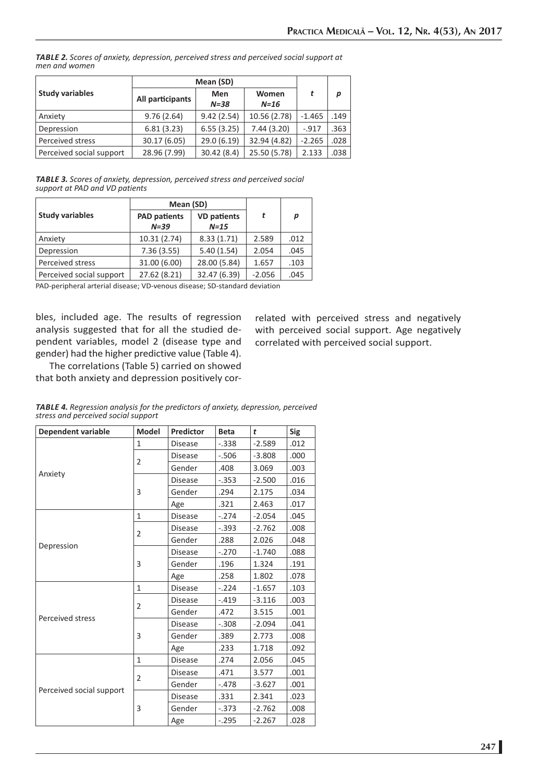*TABLE 2. Scores of anxiety, depression, perceived stress and perceived social support at men and women*

|                          | Mean (SD)        |                                    |              |          |      |
|--------------------------|------------------|------------------------------------|--------------|----------|------|
| <b>Study variables</b>   | All participants | Women<br>Men<br>$N = 38$<br>$N=16$ |              |          | р    |
| Anxiety                  | 9.76(2.64)       | 9.42(2.54)                         | 10.56 (2.78) | $-1.465$ | .149 |
| Depression               | 6.81(3.23)       | 6.55(3.25)                         | 7.44(3.20)   | $-.917$  | .363 |
| Perceived stress         | 30.17 (6.05)     | 29.0 (6.19)                        | 32.94 (4.82) | $-2.265$ | .028 |
| Perceived social support | 28.96 (7.99)     | 30.42 (8.4)                        | 25.50 (5.78) | 2.133    | .038 |

*TABLE 3. Scores of anxiety, depression, perceived stress and perceived social support at PAD and VD patients*

|                          | Mean (SD)                       |                              |          |      |
|--------------------------|---------------------------------|------------------------------|----------|------|
| <b>Study variables</b>   | <b>PAD patients</b><br>$N = 39$ | <b>VD patients</b><br>$N=15$ |          | р    |
| Anxiety                  | 10.31(2.74)                     | 8.33(1.71)                   | 2.589    | .012 |
| Depression               | 7.36(3.55)                      | 5.40(1.54)                   | 2.054    | .045 |
| Perceived stress         | 31.00 (6.00)                    | 28.00 (5.84)                 | 1.657    | .103 |
| Perceived social support | 27.62 (8.21)                    | 32.47 (6.39)                 | $-2.056$ | .045 |

PAD-peripheral arterial disease; VD-venous disease; SD-standard deviation

bles, included age. The results of regression analysis suggested that for all the studied dependent variables, model 2 (disease type and gender) had the higher predictive value (Table 4).

related with perceived stress and negatively with perceived social support. Age negatively correlated with perceived social support.

The correlations (Table 5) carried on showed that both anxiety and depression positively cor-

| <b>Dependent variable</b> | <b>Model</b>   | Predictor      | <b>Beta</b> | t        | <b>Sig</b> |
|---------------------------|----------------|----------------|-------------|----------|------------|
|                           | 1              | <b>Disease</b> | $-.338$     | $-2.589$ | .012       |
|                           | 2              | <b>Disease</b> | $-.506$     | $-3.808$ | .000       |
|                           |                | Gender         | .408        | 3.069    | .003       |
| Anxiety                   |                | <b>Disease</b> | $-.353$     | $-2.500$ | .016       |
|                           | 3              | Gender         | .294        | 2.175    | .034       |
|                           |                | Age            | .321        | 2.463    | .017       |
|                           | 1              | <b>Disease</b> | $-.274$     | $-2.054$ | .045       |
|                           | $\overline{2}$ | <b>Disease</b> | $-.393$     | $-2.762$ | .008       |
|                           |                | Gender         | .288        | 2.026    | .048       |
| Depression                |                | <b>Disease</b> | $-.270$     | $-1.740$ | .088       |
|                           | 3              | Gender         | .196        | 1.324    | .191       |
|                           |                | Age            | .258        | 1.802    | .078       |
|                           | $\mathbf{1}$   | <b>Disease</b> | $-.224$     | $-1.657$ | .103       |
|                           | $\overline{2}$ | <b>Disease</b> | $-.419$     | $-3.116$ | .003       |
| Perceived stress          |                | Gender         | .472        | 3.515    | .001       |
|                           |                | <b>Disease</b> | $-.308$     | $-2.094$ | .041       |
|                           | 3              | Gender         | .389        | 2.773    | .008       |
|                           |                | Age            | .233        | 1.718    | .092       |
|                           | $\mathbf{1}$   | <b>Disease</b> | .274        | 2.056    | .045       |
|                           | $\overline{2}$ | <b>Disease</b> | .471        | 3.577    | .001       |
|                           |                | Gender         | $-.478$     | $-3.627$ | .001       |
| Perceived social support  |                | <b>Disease</b> | .331        | 2.341    | .023       |
|                           | 3              | Gender         | $-.373$     | $-2.762$ | .008       |
|                           |                | Age            | $-.295$     | $-2.267$ | .028       |

*TABLE 4. Regression analysis for the predictors of anxiety, depression, perceived stress and perceived social support*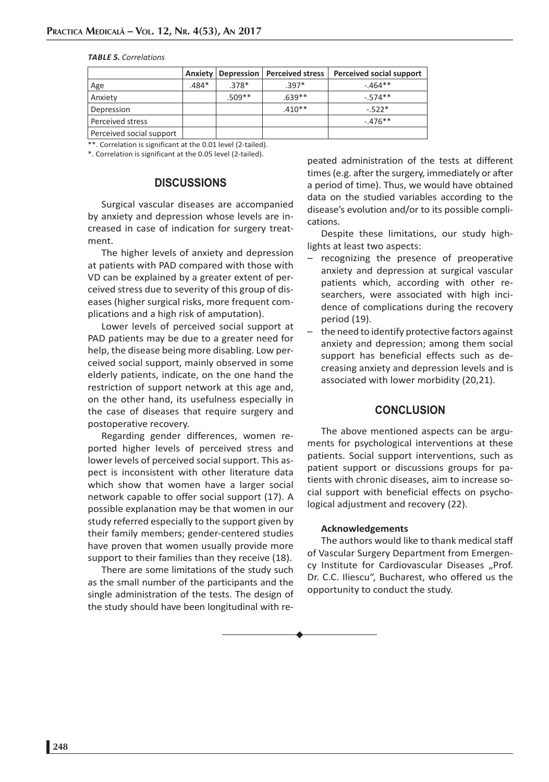#### *TABLE 5. Correlations*

|                          | Anxiety |          | Depression   Perceived stress | Perceived social support |
|--------------------------|---------|----------|-------------------------------|--------------------------|
| Age                      | $.484*$ | $.378*$  | $.397*$                       | $-.464**$                |
| Anxiety                  |         | $.509**$ | $.639**$                      | $-.574**$                |
| Depression               |         |          | $.410**$                      | $-522*$                  |
| Perceived stress         |         |          |                               | $-476**$                 |
| Perceived social support |         |          |                               |                          |

\*\*. Correlation is significant at the 0.01 level (2-tailed). \*. Correlation is significant at the 0.05 level (2-tailed).

# **DISCUSSIONS**

Surgical vascular diseases are accompanied by anxiety and depression whose levels are increased in case of indication for surgery treatment.

The higher levels of anxiety and depression at patients with PAD compared with those with VD can be explained by a greater extent of perceived stress due to severity of this group of diseases (higher surgical risks, more frequent complications and a high risk of amputation).

Lower levels of perceived social support at PAD patients may be due to a greater need for help, the disease being more disabling. Low perceived social support, mainly observed in some elderly patients, indicate, on the one hand the restriction of support network at this age and, on the other hand, its usefulness especially in the case of diseases that require surgery and postoperative recovery.

Regarding gender differences, women reported higher levels of perceived stress and lower levels of perceived social support. This aspect is inconsistent with other literature data which show that women have a larger social network capable to offer social support (17). A possible explanation may be that women in our study referred especially to the support given by their family members; gender-centered studies have proven that women usually provide more support to their families than they receive (18).

There are some limitations of the study such as the small number of the participants and the single administration of the tests. The design of the study should have been longitudinal with repeated administration of the tests at different times (e.g. after the surgery, immediately or after a period of time). Thus, we would have obtained data on the studied variables according to the disease's evolution and/or to its possible complications.

Despite these limitations, our study highlights at least two aspects:

- recognizing the presence of preoperative anxiety and depression at surgical vascular patients which, according with other researchers, were associated with high incidence of complications during the recovery period (19).
- the need to identify protective factors against anxiety and depression; among them social support has beneficial effects such as decreasing anxiety and depression levels and is associated with lower morbidity (20,21).

# **CONCLUSION**

The above mentioned aspects can be arguments for psychological interventions at these patients. Social support interventions, such as patient support or discussions groups for patients with chronic diseases, aim to increase social support with beneficial effects on psychological adjustment and recovery (22).

#### **Acknowledgements**

The authors would like to thank medical staff of Vascular Surgery Department from Emergency Institute for Cardiovascular Diseases "Prof. Dr. C.C. Iliescu", Bucharest, who offered us the opportunity to conduct the study.